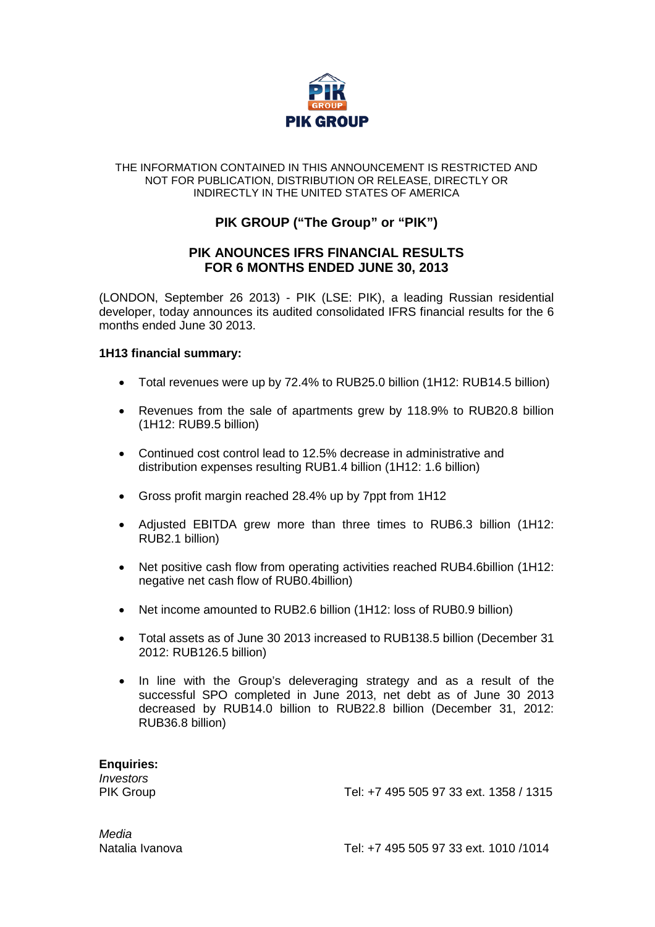

#### THE INFORMATION CONTAINED IN THIS ANNOUNCEMENT IS RESTRICTED AND NOT FOR PUBLICATION, DISTRIBUTION OR RELEASE, DIRECTLY OR INDIRECTLY IN THE UNITED STATES OF AMERICA

# **PIK GROUP ("The Group" or "PIK")**

## **PIK ANOUNCES IFRS FINANCIAL RESULTS FOR 6 MONTHS ENDED JUNE 30, 2013**

(LONDON, September 26 2013) - PIK (LSE: PIK), a leading Russian residential developer, today announces its audited consolidated IFRS financial results for the 6 months ended June 30 2013.

### **1H13 financial summary:**

- Total revenues were up by 72.4% to RUB25.0 billion (1H12: RUB14.5 billion)
- Revenues from the sale of apartments grew by 118.9% to RUB20.8 billion (1H12: RUB9.5 billion)
- Continued cost control lead to 12.5% decrease in administrative and distribution expenses resulting RUB1.4 billion (1H12: 1.6 billion)
- Gross profit margin reached 28.4% up by 7ppt from 1H12
- Adjusted EBITDA grew more than three times to RUB6.3 billion (1H12: RUB2.1 billion)
- Net positive cash flow from operating activities reached RUB4.6billion (1H12: negative net cash flow of RUB0.4billion)
- Net income amounted to RUB2.6 billion (1H12: loss of RUB0.9 billion)
- Total assets as of June 30 2013 increased to RUB138.5 billion (December 31 2012: RUB126.5 billion)
- In line with the Group's deleveraging strategy and as a result of the successful SPO completed in June 2013, net debt as of June 30 2013 decreased by RUB14.0 billion to RUB22.8 billion (December 31, 2012: RUB36.8 billion)

**Enquiries:** *Investors*

PIK Group Tel: +7 495 505 97 33 ext. 1358 / 1315

*Media*

Natalia Ivanova Tel: +7 495 505 97 33 ext. 1010 /1014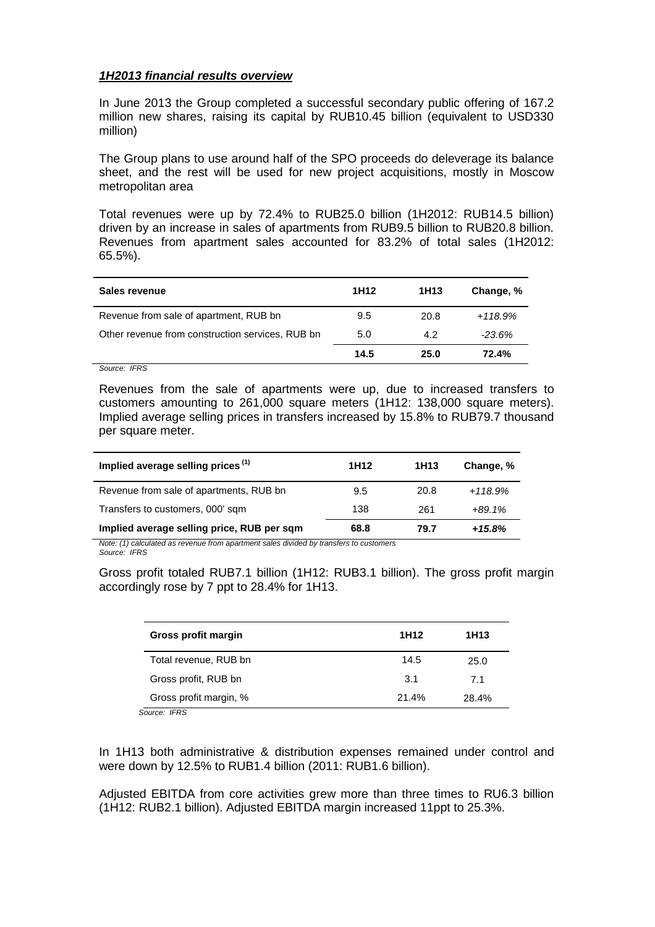#### *1H2013 financial results overview*

In June 2013 the Group completed a successful secondary public offering of 167.2 million new shares, raising its capital by RUB10.45 billion (equivalent to USD330 million)

The Group plans to use around half of the SPO proceeds do deleverage its balance sheet, and the rest will be used for new project acquisitions, mostly in Moscow metropolitan area

Total revenues were up by 72.4% to RUB25.0 billion (1H2012: RUB14.5 billion) driven by an increase in sales of apartments from RUB9.5 billion to RUB20.8 billion. Revenues from apartment sales accounted for 83.2% of total sales (1H2012: 65.5%).

| Sales revenue                                    | 1H <sub>12</sub> | 1H <sub>13</sub> | Change, % |
|--------------------------------------------------|------------------|------------------|-----------|
| Revenue from sale of apartment, RUB bn           | 9.5              | 20.8             | $+118.9%$ |
| Other revenue from construction services, RUB bn | 5.0              | 4.2              | $-23.6\%$ |
|                                                  | 14.5             | 25.0             | 72.4%     |

*Source: IFRS* 

Revenues from the sale of apartments were up, due to increased transfers to customers amounting to 261,000 square meters (1H12: 138,000 square meters). Implied average selling prices in transfers increased by 15.8% to RUB79.7 thousand per square meter.

| Implied average selling prices <sup>(1)</sup> | 1H <sub>12</sub> | 1H13 | Change, % |
|-----------------------------------------------|------------------|------|-----------|
| Revenue from sale of apartments, RUB bn       | 9.5              | 20.8 | $+118.9%$ |
| Transfers to customers, 000' sqm              | 138              | 261  | $+89.1%$  |
| Implied average selling price, RUB per sqm    | 68.8             | 79.7 | $+15.8%$  |

*Note: (1) calculated as revenue from apartment sales divided by transfers to customers Source: IFRS* 

Gross profit totaled RUB7.1 billion (1H12: RUB3.1 billion). The gross profit margin accordingly rose by 7 ppt to 28.4% for 1H13.

| Gross profit margin                     | 1H <sub>12</sub> | 1H13  |
|-----------------------------------------|------------------|-------|
| Total revenue, RUB bn                   | 14.5             | 25.0  |
| Gross profit, RUB bn                    | 3.1              | 71    |
| Gross profit margin, %<br>0 <i>IFOO</i> | 21.4%            | 28.4% |

*Source: IFRS* 

In 1H13 both administrative & distribution expenses remained under control and were down by 12.5% to RUB1.4 billion (2011: RUB1.6 billion).

Adjusted EBITDA from core activities grew more than three times to RU6.3 billion (1H12: RUB2.1 billion). Adjusted EBITDA margin increased 11ppt to 25.3%.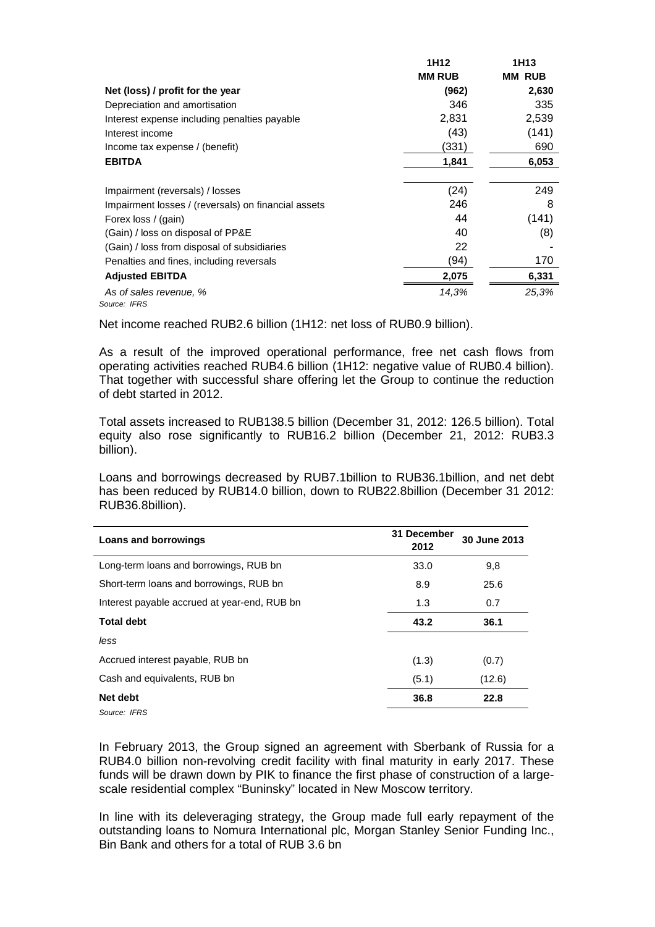|                                                     | 1H12          | 1H13          |
|-----------------------------------------------------|---------------|---------------|
|                                                     | <b>MM RUB</b> | <b>MM RUB</b> |
| Net (loss) / profit for the year                    | (962)         | 2,630         |
| Depreciation and amortisation                       | 346           | 335           |
| Interest expense including penalties payable        | 2,831         | 2,539         |
| Interest income                                     | (43)          | (141)         |
| Income tax expense / (benefit)                      | (331)         | 690           |
| <b>EBITDA</b>                                       | 1,841         | 6,053         |
|                                                     |               |               |
| Impairment (reversals) / losses                     | (24)          | 249           |
| Impairment losses / (reversals) on financial assets | 246           | 8             |
| Forex loss / (gain)                                 | 44            | (141)         |
| (Gain) / loss on disposal of PP&E                   | 40            | (8)           |
| (Gain) / loss from disposal of subsidiaries         | 22            |               |
| Penalties and fines, including reversals            | (94)          | 170           |
| <b>Adjusted EBITDA</b>                              | 2,075         | 6,331         |
| As of sales revenue, %                              | 14,3%         | 25,3%         |
| Source: IFRS                                        |               |               |

Net income reached RUB2.6 billion (1H12: net loss of RUB0.9 billion).

As a result of the improved operational performance, free net cash flows from operating activities reached RUB4.6 billion (1H12: negative value of RUB0.4 billion). That together with successful share offering let the Group to continue the reduction of debt started in 2012.

Total assets increased to RUB138.5 billion (December 31, 2012: 126.5 billion). Total equity also rose significantly to RUB16.2 billion (December 21, 2012: RUB3.3 billion).

Loans and borrowings decreased by RUB7.1billion to RUB36.1billion, and net debt has been reduced by RUB14.0 billion, down to RUB22.8billion (December 31 2012: RUB36.8billion).

| <b>Loans and borrowings</b>                  | 31 December<br>2012 | 30 June 2013 |
|----------------------------------------------|---------------------|--------------|
| Long-term loans and borrowings, RUB bn       | 33.0                | 9,8          |
| Short-term loans and borrowings, RUB bn      | 8.9                 | 25.6         |
| Interest payable accrued at year-end, RUB bn | 1.3                 | 0.7          |
| <b>Total debt</b>                            | 43.2                | 36.1         |
| less                                         |                     |              |
| Accrued interest payable, RUB bn             | (1.3)               | (0.7)        |
| Cash and equivalents, RUB bn                 | (5.1)               | (12.6)       |
| Net debt                                     | 36.8                | 22.8         |
| Source: IFRS                                 |                     |              |

In February 2013, the Group signed an agreement with Sberbank of Russia for a RUB4.0 billion non-revolving credit facility with final maturity in early 2017. These funds will be drawn down by PIK to finance the first phase of construction of a largescale residential complex "Buninsky" located in New Moscow territory.

In line with its deleveraging strategy, the Group made full early repayment of the outstanding loans to Nomura International plc, Morgan Stanley Senior Funding Inc., Bin Bank and others for a total of RUB 3.6 bn